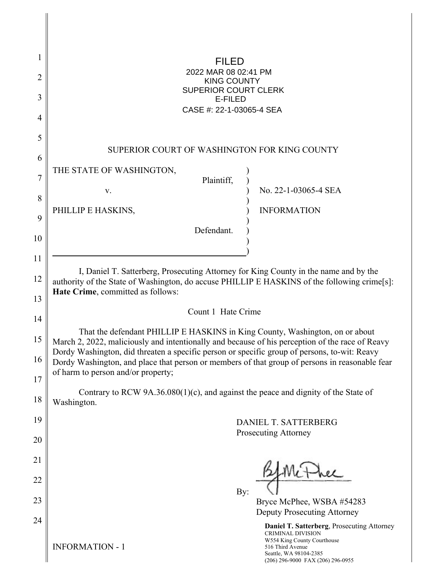| 1              | GEGGÁT O EU ÁEI ÁEGAK FÁUT                                                                                                                                                                                                           |  |  |  |  |  |  |
|----------------|--------------------------------------------------------------------------------------------------------------------------------------------------------------------------------------------------------------------------------------|--|--|--|--|--|--|
| 2              | S <b>O</b> ≵ŐÁÔUWÞVŸ<br>ÙWÚÒÜQUÜÁÔUWÜVÁÔŠÒÜS                                                                                                                                                                                         |  |  |  |  |  |  |
| 3              | <b>ÒËZŠÒÖ</b><br>ÔŒLIÒÁANÁGGEEFÉEEHEÎ Í EI ÁJÒŒ                                                                                                                                                                                      |  |  |  |  |  |  |
| $\overline{4}$ |                                                                                                                                                                                                                                      |  |  |  |  |  |  |
| 5              |                                                                                                                                                                                                                                      |  |  |  |  |  |  |
| 6              | SUPERIOR COURT OF WASHINGTON FOR KING COUNTY                                                                                                                                                                                         |  |  |  |  |  |  |
| 7              | THE STATE OF WASHINGTON,<br>Plaintiff,                                                                                                                                                                                               |  |  |  |  |  |  |
| 8              | No. 22-1-03065-4 SEA<br>V.                                                                                                                                                                                                           |  |  |  |  |  |  |
| 9              | <b>INFORMATION</b><br>PHILLIP E HASKINS,                                                                                                                                                                                             |  |  |  |  |  |  |
| 10             | Defendant.                                                                                                                                                                                                                           |  |  |  |  |  |  |
| 11             |                                                                                                                                                                                                                                      |  |  |  |  |  |  |
| 12             | I, Daniel T. Satterberg, Prosecuting Attorney for King County in the name and by the<br>authority of the State of Washington, do accuse PHILLIP E HASKINS of the following crime[s]:                                                 |  |  |  |  |  |  |
| 13             | Hate Crime, committed as follows:                                                                                                                                                                                                    |  |  |  |  |  |  |
| 14             | Count 1 Hate Crime                                                                                                                                                                                                                   |  |  |  |  |  |  |
| 15             | That the defendant PHILLIP E HASKINS in King County, Washington, on or about<br>March 2, 2022, maliciously and intentionally and because of his perception of the race of Reavy                                                      |  |  |  |  |  |  |
| 16             | Dordy Washington, did threaten a specific person or specific group of persons, to-wit: Reavy<br>Dordy Washington, and place that person or members of that group of persons in reasonable fear<br>of harm to person and/or property; |  |  |  |  |  |  |
| 17             |                                                                                                                                                                                                                                      |  |  |  |  |  |  |
| 18             | Contrary to RCW $9A.36.080(1)(c)$ , and against the peace and dignity of the State of<br>Washington.                                                                                                                                 |  |  |  |  |  |  |
| 19             | DANIEL T. SATTERBERG                                                                                                                                                                                                                 |  |  |  |  |  |  |
| 20             | Prosecuting Attorney                                                                                                                                                                                                                 |  |  |  |  |  |  |
| 21             |                                                                                                                                                                                                                                      |  |  |  |  |  |  |
| 22             |                                                                                                                                                                                                                                      |  |  |  |  |  |  |
| 23             | By:<br>Bryce McPhee, WSBA #54283<br><b>Deputy Prosecuting Attorney</b>                                                                                                                                                               |  |  |  |  |  |  |
| 24             | Daniel T. Satterberg, Prosecuting Attorney                                                                                                                                                                                           |  |  |  |  |  |  |
|                | <b>CRIMINAL DIVISION</b><br>W554 King County Courthouse<br><b>INFORMATION - 1</b><br>516 Third Avenue<br>Seattle, WA 98104-2385<br>(206) 296-9000 FAX (206) 296-0955                                                                 |  |  |  |  |  |  |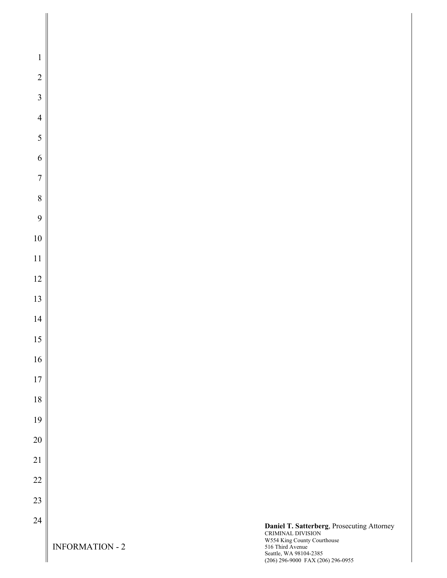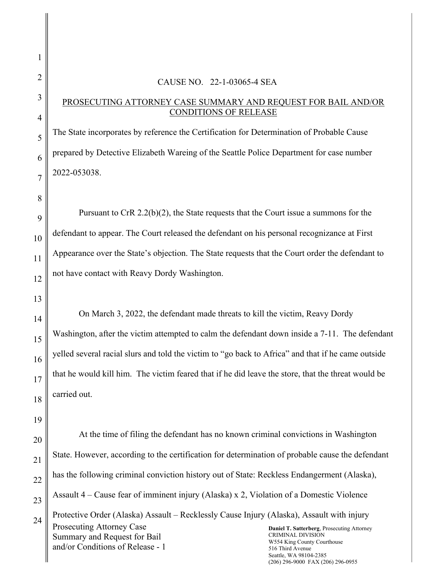## CAUSE NO. 22-1-03065-4 SEA

## PROSECUTING ATTORNEY CASE SUMMARY AND REQUEST FOR BAIL AND/OR CONDITIONS OF RELEASE

The State incorporates by reference the Certification for Determination of Probable Cause prepared by Detective Elizabeth Wareing of the Seattle Police Department for case number 2022-053038.

Pursuant to CrR 2.2(b)(2), the State requests that the Court issue a summons for the defendant to appear. The Court released the defendant on his personal recognizance at First Appearance over the State's objection. The State requests that the Court order the defendant to not have contact with Reavy Dordy Washington.

On March 3, 2022, the defendant made threats to kill the victim, Reavy Dordy Washington, after the victim attempted to calm the defendant down inside a 7-11. The defendant yelled several racial slurs and told the victim to "go back to Africa" and that if he came outside that he would kill him. The victim feared that if he did leave the store, that the threat would be carried out.

Prosecuting Attorney Case Summary and Request for Bail and/or Conditions of Release - 1 **Daniel T. Satterberg**, Prosecuting Attorney CRIMINAL DIVISION W554 King County Courthouse 516 Third Avenue Seattle, WA 98104-2385 At the time of filing the defendant has no known criminal convictions in Washington State. However, according to the certification for determination of probable cause the defendant has the following criminal conviction history out of State: Reckless Endangerment (Alaska), Assault 4 – Cause fear of imminent injury (Alaska) x 2, Violation of a Domestic Violence Protective Order (Alaska) Assault – Recklessly Cause Injury (Alaska), Assault with injury

(206) 296-9000 FAX (206) 296-0955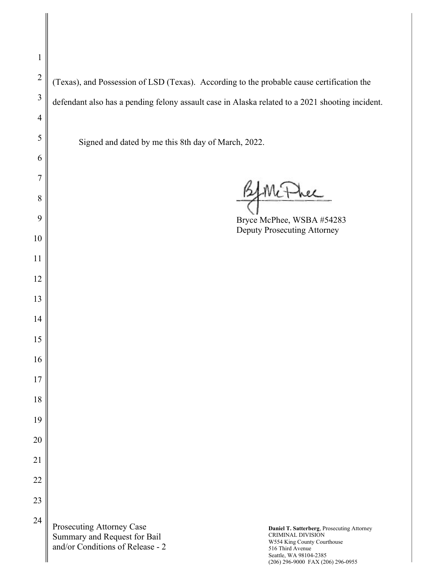(Texas), and Possession of LSD (Texas). According to the probable cause certification the defendant also has a pending felony assault case in Alaska related to a 2021 shooting incident.

Signed and dated by me this 8th day of March, 2022.

Mither

Bryce McPhee, WSBA #54283 Deputy Prosecuting Attorney

Prosecuting Attorney Case Summary and Request for Bail and/or Conditions of Release - 2

**Daniel T. Satterberg**, Prosecuting Attorney CRIMINAL DIVISION W554 King County Courthouse Third Avenue Seattle, WA 98104-2385 (206) 296-9000 FAX (206) 296-0955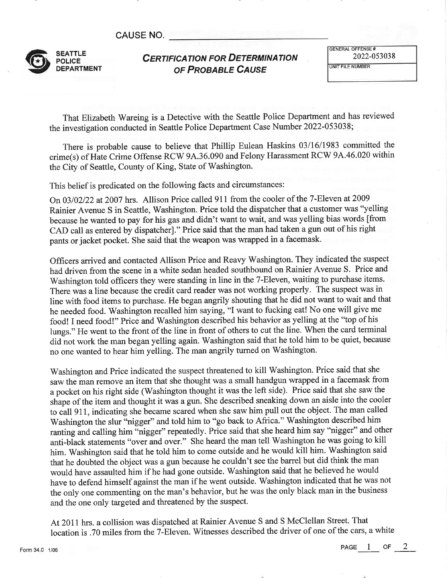**CAUSE NO.** 



## **CERTIFICATION FOR DETERMINATION** OF PROBABLE CAUSE

**GENERAL OFFENSE#** 2022-053038 UNIT FILE NUMBER

That Elizabeth Wareing is a Detective with the Seattle Police Department and has reviewed the investigation conducted in Seattle Police Department Case Number 2022-053038;

There is probable cause to believe that Phillip Eulean Haskins 03/16/1983 committed the crime(s) of Hate Crime Offense RCW 9A.36.090 and Felony Harassment RCW 9A.46.020 within the City of Seattle, County of King, State of Washington.

This belief is predicated on the following facts and circumstances:

On 03/02/22 at 2007 hrs. Allison Price called 911 from the cooler of the 7-Eleven at 2009 Rainier Avenue S in Seattle, Washington. Price told the dispatcher that a customer was "yelling because he wanted to pay for his gas and didn't want to wait, and was yelling bias words [from CAD call as entered by dispatcher]." Price said that the man had taken a gun out of his right pants or jacket pocket. She said that the weapon was wrapped in a facemask.

Officers arrived and contacted Allison Price and Reavy Washington. They indicated the suspect had driven from the scene in a white sedan headed southbound on Rainier Avenue S. Price and Washington told officers they were standing in line in the 7-Eleven, waiting to purchase items. There was a line because the credit card reader was not working properly. The suspect was in line with food items to purchase. He began angrily shouting that he did not want to wait and that he needed food. Washington recalled him saying, "I want to fucking eat! No one will give me food! I need food!" Price and Washington described his behavior as yelling at the "top of his lungs." He went to the front of the line in front of others to cut the line. When the card terminal did not work the man began yelling again. Washington said that he told him to be quiet, because no one wanted to hear him yelling. The man angrily turned on Washington.

Washington and Price indicated the suspect threatened to kill Washington. Price said that she saw the man remove an item that she thought was a small handgun wrapped in a facemask from a pocket on his right side (Washington thought it was the left side). Price said that she saw the shape of the item and thought it was a gun. She described sneaking down an aisle into the cooler to call 911, indicating she became scared when she saw him pull out the object. The man called Washington the slur "nigger" and told him to "go back to Africa." Washington described him ranting and calling him "nigger" repeatedly. Price said that she heard him say "nigger" and other anti-black statements "over and over." She heard the man tell Washington he was going to kill him. Washington said that he told him to come outside and he would kill him. Washington said that he doubted the object was a gun because he couldn't see the barrel but did think the man would have assaulted him if he had gone outside. Washington said that he believed he would have to defend himself against the man if he went outside. Washington indicated that he was not the only one commenting on the man's behavior, but he was the only black man in the business and the one only targeted and threatened by the suspect.

At 2011 hrs. a collision was dispatched at Rainier Avenue S and S McClellan Street. That location is .70 miles from the 7-Eleven. Witnesses described the driver of one of the cars, a white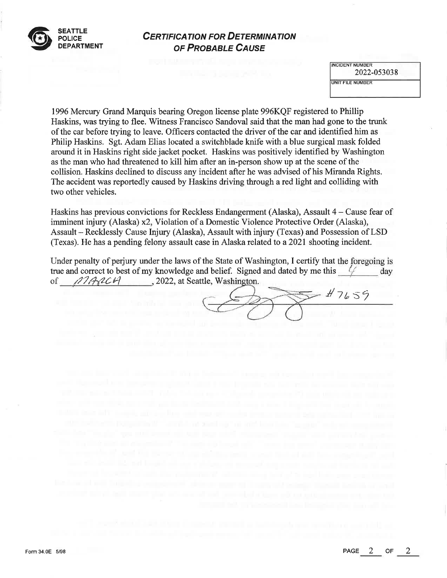

## **CERTIFICATION FOR DETERMINATION** OF PROBABLE CAUSE

**INCIDENT NUMBER** 2022-053038 UNIT FILE NUMBER

1996 Mercury Grand Marquis bearing Oregon license plate 996KQF registered to Phillip Haskins, was trying to flee. Witness Francisco Sandoval said that the man had gone to the trunk of the car before trying to leave. Officers contacted the driver of the car and identified him as Philip Haskins. Sgt. Adam Elias located a switchblade knife with a blue surgical mask folded around it in Haskins right side jacket pocket. Haskins was positively identified by Washington as the man who had threatened to kill him after an in-person show up at the scene of the collision. Haskins declined to discuss any incident after he was advised of his Miranda Rights. The accident was reportedly caused by Haskins driving through a red light and colliding with two other vehicles.

Haskins has previous convictions for Reckless Endangerment (Alaska), Assault 4 – Cause fear of imminent injury (Alaska) x2, Violation of a Domestic Violence Protective Order (Alaska), Assault – Recklessly Cause Injury (Alaska), Assault with injury (Texas) and Possession of LSD (Texas). He has a pending felony assault case in Alaska related to a 2021 shooting incident.

Under penalty of perjury under the laws of the State of Washington, I certify that the foregoing is true and correct to best of my knowledge and belief. Signed and dated by me this  $\frac{1}{2}$ day of  $MAG2CH$ , 2022, at Seattle, Washington.

 $H7659$